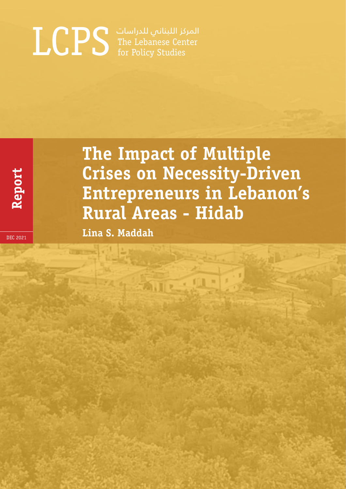# المركز اللبناني للدراسات The Lebanese Center LCPS for Policy Studies

**Report** 

# **The Impact of Multiple Crises on Necessity-Driven Entrepreneurs in Lebanon's Rural Areas - Hidab**

**Lina S. Maddah**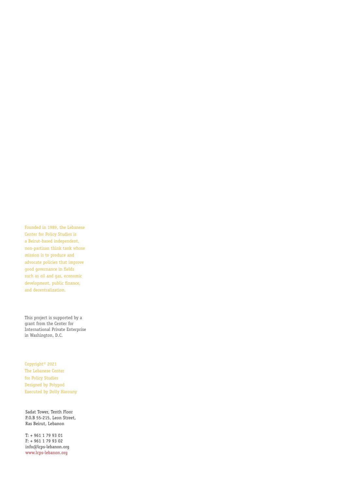Founded in 1989, the Lebanese Center for Policy Studies is a Beirut-based independent, non-partisan think tank whose mission is to produce and advocate policies that improve good governance in fields such as oil and gas, economic development, public finance, and decentralization.

This project is supported by a grant from the Center for International Private Enterprise in Washington, D.C.

Copyright© 2021 The Lebanese Center for Policy Studies Designed by Polypod Executed by Dolly Harouny

Sadat Tower, Tenth Floor P.O.B 55-215, Leon Street, Ras Beirut, Lebanon

T: + 961 1 79 93 01 F: + 961 1 79 93 02 info@lcps-lebanon.org www.lcps-lebanon.org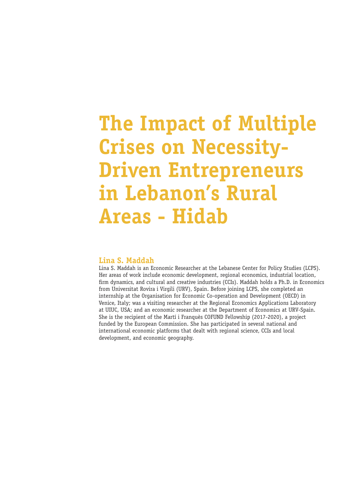# **The Impact of Multiple Crises on Necessity-Driven Entrepreneurs in Lebanon's Rural Areas - Hidab**

#### **Lina S. Maddah**

Lina S. Maddah is an Economic Researcher at the Lebanese Center for Policy Studies (LCPS). Her areas of work include economic development, regional economics, industrial location, firm dynamics, and cultural and creative industries (CCIs). Maddah holds a Ph.D. in Economics from Universitat Rovira i Virgili (URV), Spain. Before joining LCPS, she completed an internship at the Organisation for Economic Co-operation and Development (OECD) in Venice, Italy; was a visiting researcher at the Regional Economics Applications Laboratory at UIUC, USA; and an economic researcher at the Department of Economics at URV-Spain. She is the recipient of the Martí i Franquès COFUND Fellowship (2017-2020), a project funded by the European Commission. She has participated in several national and international economic platforms that dealt with regional science, CCIs and local development, and economic geography.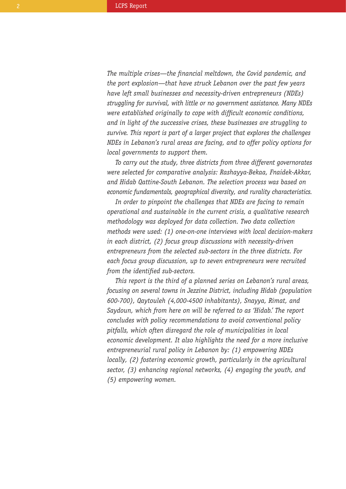*The multiple crises—the financial meltdown, the Covid pandemic, and the port explosion—that have struck Lebanon over the past few years have left small businesses and necessity-driven entrepreneurs (NDEs) struggling for survival, with little or no government assistance. Many NDEs were established originally to cope with difficult economic conditions, and in light of the successive crises, these businesses are struggling to survive. This report is part of a larger project that explores the challenges NDEs in Lebanon's rural areas are facing, and to offer policy options for local governments to support them.* 

*To carry out the study, three districts from three different governorates were selected for comparative analysis: Rashayya-Bekaa, Fnaidek-Akkar, and Hidab Qattine-South Lebanon. The selection process was based on economic fundamentals, geographical diversity, and rurality characteristics.*

*In order to pinpoint the challenges that NDEs are facing to remain operational and sustainable in the current crisis, a qualitative research methodology was deployed for data collection. Two data collection methods were used: (1) one-on-one interviews with local decision-makers in each district, (2) focus group discussions with necessity-driven entrepreneurs from the selected sub-sectors in the three districts. For each focus group discussion, up to seven entrepreneurs were recruited from the identified sub-sectors.* 

*This report is the third of a planned series on Lebanon's rural areas, focusing on several towns in Jezzine District, including Hidab (population 600-700), Qaytouleh (4,000-4500 inhabitants), Snayya, Rimat, and Saydoun, which from here on will be referred to as 'Hidab.' The report concludes with policy recommendations to avoid conventional policy pitfalls, which often disregard the role of municipalities in local economic development. It also highlights the need for a more inclusive entrepreneurial rural policy in Lebanon by: (1) empowering NDEs locally, (2) fostering economic growth, particularly in the agricultural sector, (3) enhancing regional networks, (4) engaging the youth, and (5) empowering women.*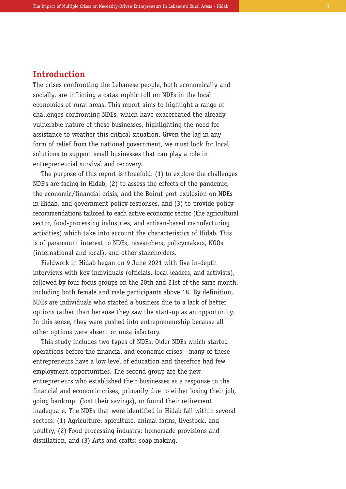## **Introduction**

The crises confronting the Lebanese people, both economically and socially, are inflicting a catastrophic toll on NDEs in the local economies of rural areas. This report aims to highlight a range of challenges confronting NDEs, which have exacerbated the already vulnerable nature of these businesses, highlighting the need for assistance to weather this critical situation. Given the lag in any form of relief from the national government, we must look for local solutions to support small businesses that can play a role in entrepreneurial survival and recovery.

The purpose of this report is threefold: (1) to explore the challenges NDE's are facing in Hidab, (2) to assess the effects of the pandemic, the economic/financial crisis, and the Beirut port explosion on NDEs in Hidab, and government policy responses, and (3) to provide policy recommendations tailored to each active economic sector (the agricultural sector, food-processing industries, and artisan-based manufacturing activities) which take into account the characteristics of Hidab. This is of paramount interest to NDEs, researchers, policymakers, NGOs (international and local), and other stakeholders.

Fieldwork in Hidab began on 9 June 2021 with five in-depth interviews with key individuals (officials, local leaders, and activists), followed by four focus groups on the 20th and 21st of the same month, including both female and male participants above 18. By definition, NDEs are individuals who started a business due to a lack of better options rather than because they saw the start-up as an opportunity. In this sense, they were pushed into entrepreneurship because all other options were absent or unsatisfactory.

This study includes two types of NDEs: Older NDEs which started operations before the financial and economic crises—many of these entrepreneurs have a low level of education and therefore had few employment opportunities. The second group are the new entrepreneurs who established their businesses as a response to the financial and economic crises, primarily due to either losing their job, going bankrupt (lost their savings), or found their retirement inadequate. The NDEs that were identified in Hidab fall within several sectors: (1) Agriculture: apiculture, animal farms, livestock, and poultry, (2) Food processing industry: homemade provisions and distillation, and (3) Arts and crafts: soap making.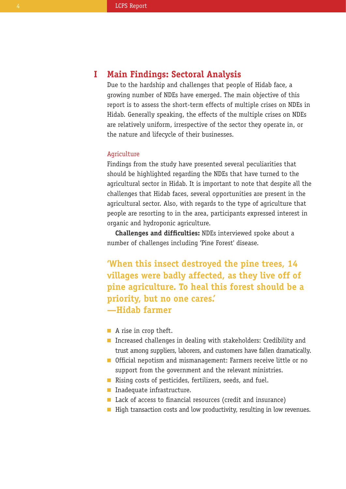#### **Main Findings: Sectoral Analysis I**

Due to the hardship and challenges that people of Hidab face, a growing number of NDEs have emerged. The main objective of this report is to assess the short-term effects of multiple crises on NDEs in Hidab. Generally speaking, the effects of the multiple crises on NDEs are relatively uniform, irrespective of the sector they operate in, or the nature and lifecycle of their businesses.

#### Agriculture

Findings from the study have presented several peculiarities that should be highlighted regarding the NDEs that have turned to the agricultural sector in Hidab. It is important to note that despite all the challenges that Hidab faces, several opportunities are present in the agricultural sector. Also, with regards to the type of agriculture that people are resorting to in the area, participants expressed interest in organic and hydroponic agriculture.

**Challenges and difficulties:** NDEs interviewed spoke about a number of challenges including 'Pine Forest' disease.

**'When this insect destroyed the pine trees, 14 villages were badly affected, as they live off of pine agriculture. To heal this forest should be a priority, but no one cares.' —Hidab farmer** 

- A rise in crop theft.
- Increased challenges in dealing with stakeholders: Credibility and trust among suppliers, laborers, and customers have fallen dramatically.
- Official nepotism and mismanagement: Farmers receive little or no support from the government and the relevant ministries.
- Rising costs of pesticides, fertilizers, seeds, and fuel.
- **Inadequate infrastructure.**
- Lack of access to financial resources (credit and insurance)
- $\blacksquare$  High transaction costs and low productivity, resulting in low revenues.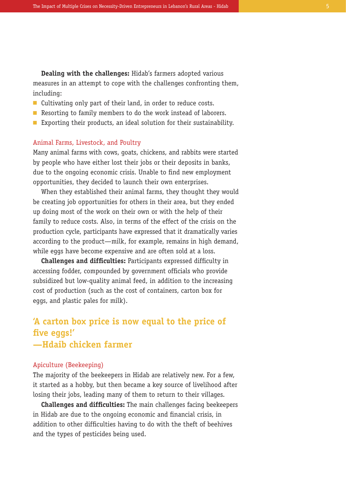**Dealing with the challenges:** Hidab's farmers adopted various measures in an attempt to cope with the challenges confronting them, including:

- Cultivating only part of their land, in order to reduce costs.
- **Resorting to family members to do the work instead of laborers.**
- $\blacksquare$  Exporting their products, an ideal solution for their sustainability.

#### Animal Farms, Livestock, and Poultry

Many animal farms with cows, goats, chickens, and rabbits were started by people who have either lost their jobs or their deposits in banks, due to the ongoing economic crisis. Unable to find new employment opportunities, they decided to launch their own enterprises.

When they established their animal farms, they thought they would be creating job opportunities for others in their area, but they ended up doing most of the work on their own or with the help of their family to reduce costs. Also, in terms of the effect of the crisis on the production cycle, participants have expressed that it dramatically varies according to the product—milk, for example, remains in high demand, while eggs have become expensive and are often sold at a loss.

**Challenges and difficulties:** Participants expressed difficulty in accessing fodder, compounded by government officials who provide subsidized but low-quality animal feed, in addition to the increasing cost of production (such as the cost of containers, carton box for eggs, and plastic pales for milk).

# **'A carton box price is now equal to the price of five eggs!' —Hdaib chicken farmer**

#### Apiculture (Beekeeping)

The majority of the beekeepers in Hidab are relatively new. For a few, it started as a hobby, but then became a key source of livelihood after losing their jobs, leading many of them to return to their villages.

**Challenges and difficulties:** The main challenges facing beekeepers in Hidab are due to the ongoing economic and financial crisis, in addition to other difficulties having to do with the theft of beehives and the types of pesticides being used.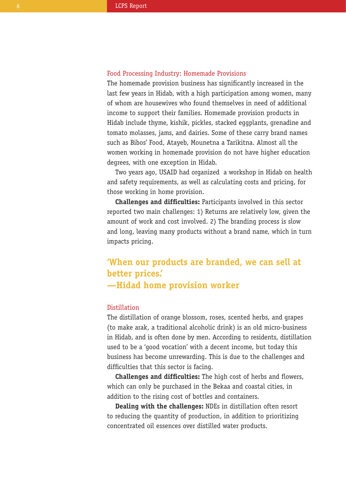#### Food Processing Industry: Homemade Provisions

The homemade provision business has significantly increased in the last few years in Hidab, with a high participation among women, many of whom are housewives who found themselves in need of additional income to support their families. Homemade provision products in Hidab include thyme, kishik, pickles, stacked eggplants, grenadine and tomato molasses, jams, and dairies. Some of these carry brand names such as Bibos' Food, Atayeb, Mounetna a Tarikitna. Almost all the women working in homemade provision do not have higher education degrees, with one exception in Hidab.

Two years ago, USAID had organized a workshop in Hidab on health and safety requirements, as well as calculating costs and pricing, for those working in home provision.

**Challenges and difficulties:** Participants involved in this sector reported two main challenges: 1) Returns are relatively low, given the amount of work and cost involved. 2) The branding process is slow and long, leaving many products without a brand name, which in turn impacts pricing.

# **'When our products are branded, we can sell at better prices.' —Hidad home provision worker**

#### Distillation

The distillation of orange blossom, roses, scented herbs, and grapes (to make arak, a traditional alcoholic drink) is an old micro-business in Hidab, and is often done by men. According to residents, distillation used to be a 'good vocation' with a decent income, but today this business has become unrewarding. This is due to the challenges and difficulties that this sector is facing.

**Challenges and difficulties:** The high cost of herbs and flowers, which can only be purchased in the Bekaa and coastal cities, in addition to the rising cost of bottles and containers.

**Dealing with the challenges:** NDEs in distillation often resort to reducing the quantity of production, in addition to prioritizing concentrated oil essences over distilled water products.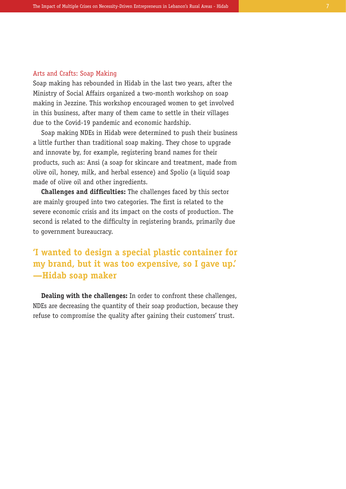#### Arts and Crafts: Soap Making

Soap making has rebounded in Hidab in the last two years, after the Ministry of Social Affairs organized a two-month workshop on soap making in Jezzine. This workshop encouraged women to get involved in this business, after many of them came to settle in their villages due to the Covid-19 pandemic and economic hardship.

Soap making NDEs in Hidab were determined to push their business a little further than traditional soap making. They chose to upgrade and innovate by, for example, registering brand names for their products, such as: Ansi (a soap for skincare and treatment, made from olive oil, honey, milk, and herbal essence) and Spolio (a liquid soap made of olive oil and other ingredients.

**Challenges and difficulties:** The challenges faced by this sector are mainly grouped into two categories. The first is related to the severe economic crisis and its impact on the costs of production. The second is related to the difficulty in registering brands, primarily due to government bureaucracy.

# **'I wanted to design a special plastic container for my brand, but it was too expensive, so I gave up.' —Hidab soap maker**

**Dealing with the challenges:** In order to confront these challenges, NDEs are decreasing the quantity of their soap production, because they refuse to compromise the quality after gaining their customers' trust.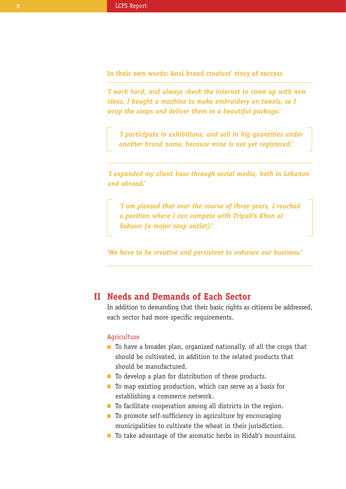**In their own words: Ansi brand creators' story of success**

*'I work hard, and always check the internet to come up with new ideas. I bought a machine to make embroidery on towels, so I wrap the soaps and deliver them in a beautiful package.'*

*'I participate in exhibitions, and sell in big quantities under another brand name, because mine is not yet registered.'*

*'I expanded my client base through social media, both in Lebanon and abroad.'*

*'I am pleased that over the course of three years, I reached a position where I can compete with Tripoli's Khan al Saboun (a major soap outlet).'*

*'We have to be creative and persistent to enhance our business.'* 

## **Needs and Demands of Each Sector II**

In addition to demanding that their basic rights as citizens be addressed, each sector had more specific requirements.

#### Agriculture

- $\blacksquare$  To have a broader plan, organized nationally, of all the crops that should be cultivated, in addition to the related products that should be manufactured.
- $\blacksquare$  To develop a plan for distribution of these products.
- $\blacksquare$  To map existing production, which can serve as a basis for establishing a commerce network.
- $\blacksquare$  To facilitate cooperation among all districts in the region.
- $\blacksquare$  To promote self-sufficiency in agriculture by encouraging municipalities to cultivate the wheat in their jurisdiction.
- To take advantage of the aromatic herbs in Hidab's mountains.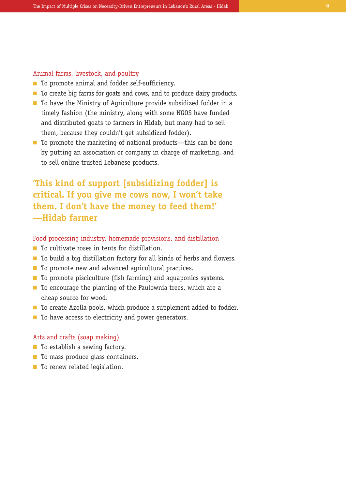#### Animal farms, livestock, and poultry

- **n** To promote animal and fodder self-sufficiency.
- To create big farms for goats and cows, and to produce dairy products.
- $\blacksquare$  To have the Ministry of Agriculture provide subsidized fodder in a timely fashion (the ministry, along with some NGOS have funded and distributed goats to farmers in Hidab, but many had to sell them, because they couldn't get subsidized fodder).
- $\blacksquare$  To promote the marketing of national products—this can be done by putting an association or company in charge of marketing, and to sell online trusted Lebanese products.

# **'This kind of support [subsidizing fodder] is critical. If you give me cows now, I won't take them. I don't have the money to feed them!' —Hidab farmer**

#### Food processing industry, homemade provisions, and distillation

- $\blacksquare$  To cultivate roses in tents for distillation.
- $\blacksquare$  To build a big distillation factory for all kinds of herbs and flowers.
- To promote new and advanced agricultural practices.
- $\blacksquare$  To promote pisciculture (fish farming) and aquaponics systems.
- $\blacksquare$  To encourage the planting of the Paulownia trees, which are a cheap source for wood.
- $\blacksquare$  To create Azolla pools, which produce a supplement added to fodder.
- To have access to electricity and power generators.

#### Arts and crafts (soap making)

- To establish a sewing factory.
- To mass produce glass containers.
- To renew related legislation.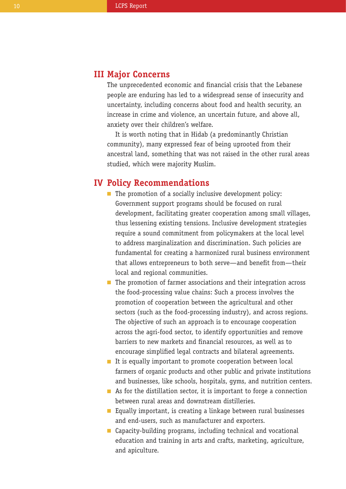# **Major Concerns III**

The unprecedented economic and financial crisis that the Lebanese people are enduring has led to a widespread sense of insecurity and uncertainty, including concerns about food and health security, an increase in crime and violence, an uncertain future, and above all, anxiety over their children's welfare.

It is worth noting that in Hidab (a predominantly Christian community), many expressed fear of being uprooted from their ancestral land, something that was not raised in the other rural areas studied, which were majority Muslim.

## **Policy Recommendations IV**

- $\blacksquare$  The promotion of a socially inclusive development policy: Government support programs should be focused on rural development, facilitating greater cooperation among small villages, thus lessening existing tensions. Inclusive development strategies require a sound commitment from policymakers at the local level to address marginalization and discrimination. Such policies are fundamental for creating a harmonized rural business environment that allows entrepreneurs to both serve—and benefit from—their local and regional communities.
- $\blacksquare$  The promotion of farmer associations and their integration across the food-processing value chains: Such a process involves the promotion of cooperation between the agricultural and other sectors (such as the food-processing industry), and across regions. The objective of such an approach is to encourage cooperation across the agri-food sector, to identify opportunities and remove barriers to new markets and financial resources, as well as to encourage simplified legal contracts and bilateral agreements.
- $\blacksquare$  It is equally important to promote cooperation between local farmers of organic products and other public and private institutions and businesses, like schools, hospitals, gyms, and nutrition centers.
- $\blacksquare$  As for the distillation sector, it is important to forge a connection between rural areas and downstream distilleries.
- $\blacksquare$  Equally important, is creating a linkage between rural businesses and end-users, such as manufacturer and exporters.
- Capacity-building programs, including technical and vocational education and training in arts and crafts, marketing, agriculture, and apiculture.